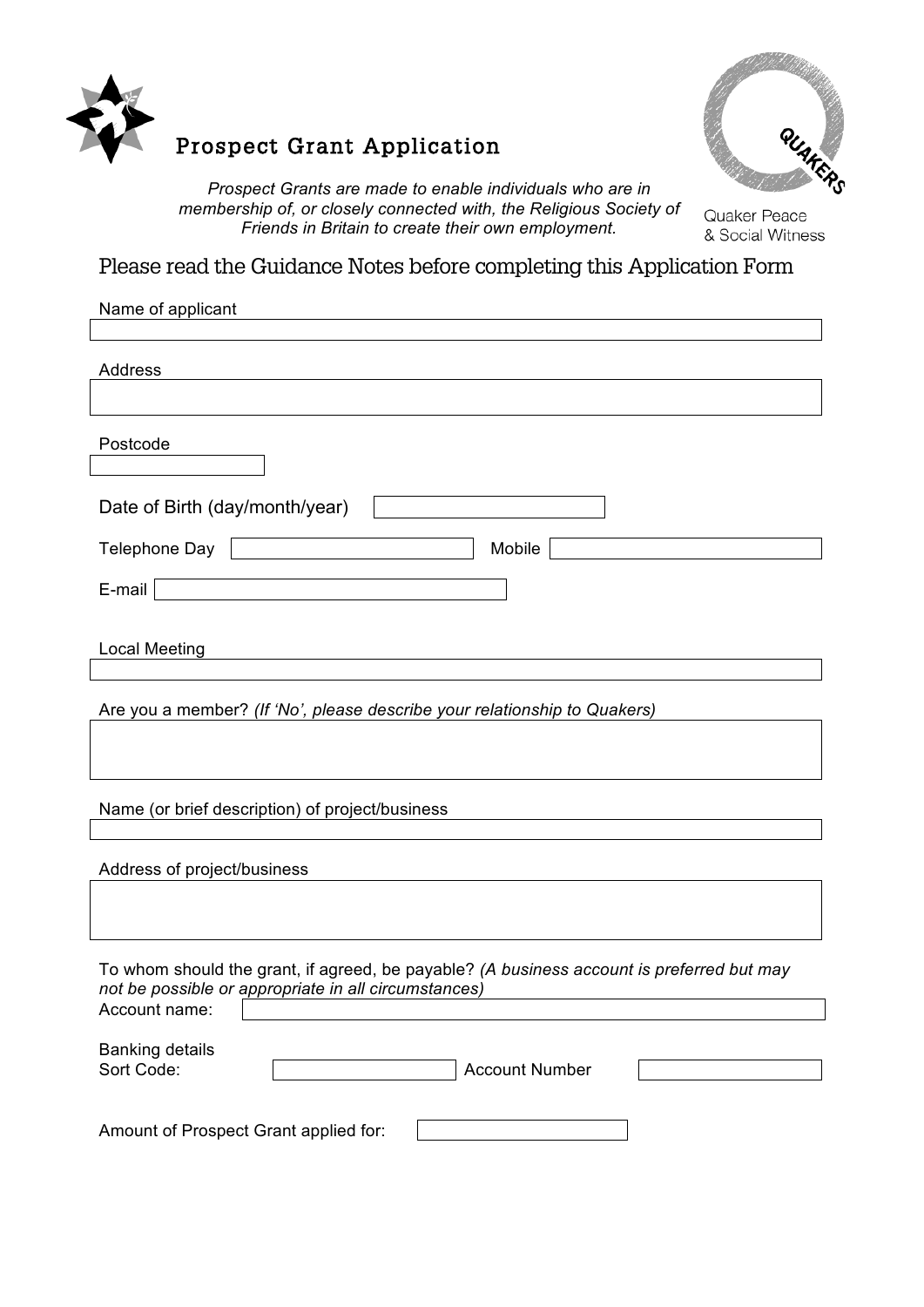

# Prospect Grant Application



*Prospect Grants are made to enable individuals who are in membership of, or closely connected with, the Religious Society of Friends in Britain to create their own employment.*

Quaker Peace & Social Witness

Please read the Guidance Notes before completing this Application Form

| Address<br>Postcode<br>Date of Birth (day/month/year)<br>Telephone Day   Telephone Day<br>Mobile<br>$E$ -mail<br><b>Local Meeting</b><br>Are you a member? (If 'No', please describe your relationship to Quakers)<br>Name (or brief description) of project/business<br>Address of project/business<br>To whom should the grant, if agreed, be payable? (A business account is preferred but may<br>not be possible or appropriate in all circumstances)<br>Account name:<br><b>Banking details</b><br>Sort Code:<br><b>Account Number</b><br>Amount of Prospect Grant applied for: | Name of applicant |
|--------------------------------------------------------------------------------------------------------------------------------------------------------------------------------------------------------------------------------------------------------------------------------------------------------------------------------------------------------------------------------------------------------------------------------------------------------------------------------------------------------------------------------------------------------------------------------------|-------------------|
|                                                                                                                                                                                                                                                                                                                                                                                                                                                                                                                                                                                      |                   |
|                                                                                                                                                                                                                                                                                                                                                                                                                                                                                                                                                                                      |                   |
|                                                                                                                                                                                                                                                                                                                                                                                                                                                                                                                                                                                      |                   |
|                                                                                                                                                                                                                                                                                                                                                                                                                                                                                                                                                                                      |                   |
|                                                                                                                                                                                                                                                                                                                                                                                                                                                                                                                                                                                      |                   |
|                                                                                                                                                                                                                                                                                                                                                                                                                                                                                                                                                                                      |                   |
|                                                                                                                                                                                                                                                                                                                                                                                                                                                                                                                                                                                      |                   |
|                                                                                                                                                                                                                                                                                                                                                                                                                                                                                                                                                                                      |                   |
|                                                                                                                                                                                                                                                                                                                                                                                                                                                                                                                                                                                      |                   |
|                                                                                                                                                                                                                                                                                                                                                                                                                                                                                                                                                                                      |                   |
|                                                                                                                                                                                                                                                                                                                                                                                                                                                                                                                                                                                      |                   |
|                                                                                                                                                                                                                                                                                                                                                                                                                                                                                                                                                                                      |                   |
|                                                                                                                                                                                                                                                                                                                                                                                                                                                                                                                                                                                      |                   |
|                                                                                                                                                                                                                                                                                                                                                                                                                                                                                                                                                                                      |                   |
|                                                                                                                                                                                                                                                                                                                                                                                                                                                                                                                                                                                      |                   |
|                                                                                                                                                                                                                                                                                                                                                                                                                                                                                                                                                                                      |                   |
|                                                                                                                                                                                                                                                                                                                                                                                                                                                                                                                                                                                      |                   |
|                                                                                                                                                                                                                                                                                                                                                                                                                                                                                                                                                                                      |                   |
|                                                                                                                                                                                                                                                                                                                                                                                                                                                                                                                                                                                      |                   |
|                                                                                                                                                                                                                                                                                                                                                                                                                                                                                                                                                                                      |                   |
|                                                                                                                                                                                                                                                                                                                                                                                                                                                                                                                                                                                      |                   |
|                                                                                                                                                                                                                                                                                                                                                                                                                                                                                                                                                                                      |                   |
|                                                                                                                                                                                                                                                                                                                                                                                                                                                                                                                                                                                      |                   |
|                                                                                                                                                                                                                                                                                                                                                                                                                                                                                                                                                                                      |                   |
|                                                                                                                                                                                                                                                                                                                                                                                                                                                                                                                                                                                      |                   |
|                                                                                                                                                                                                                                                                                                                                                                                                                                                                                                                                                                                      |                   |
|                                                                                                                                                                                                                                                                                                                                                                                                                                                                                                                                                                                      |                   |
|                                                                                                                                                                                                                                                                                                                                                                                                                                                                                                                                                                                      |                   |
|                                                                                                                                                                                                                                                                                                                                                                                                                                                                                                                                                                                      |                   |
|                                                                                                                                                                                                                                                                                                                                                                                                                                                                                                                                                                                      |                   |
|                                                                                                                                                                                                                                                                                                                                                                                                                                                                                                                                                                                      |                   |
|                                                                                                                                                                                                                                                                                                                                                                                                                                                                                                                                                                                      |                   |
|                                                                                                                                                                                                                                                                                                                                                                                                                                                                                                                                                                                      |                   |
|                                                                                                                                                                                                                                                                                                                                                                                                                                                                                                                                                                                      |                   |
|                                                                                                                                                                                                                                                                                                                                                                                                                                                                                                                                                                                      |                   |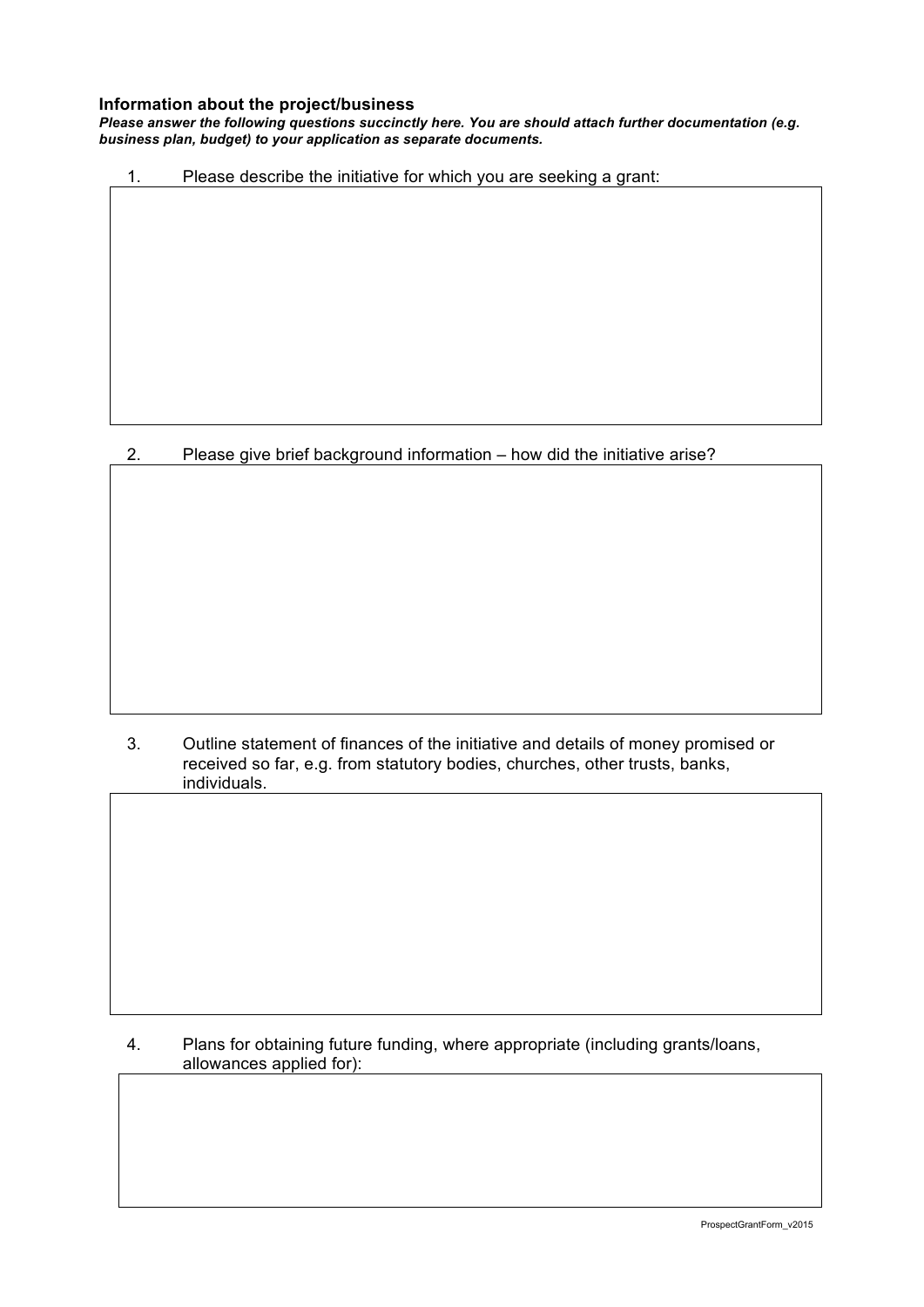#### **Information about the project/business**

*Please answer the following questions succinctly here. You are should attach further documentation (e.g. business plan, budget) to your application as separate documents.*

1. Please describe the initiative for which you are seeking a grant:

# 2. Please give brief background information – how did the initiative arise?

3. Outline statement of finances of the initiative and details of money promised or received so far, e.g. from statutory bodies, churches, other trusts, banks, individuals.

# 4. Plans for obtaining future funding, where appropriate (including grants/loans, allowances applied for):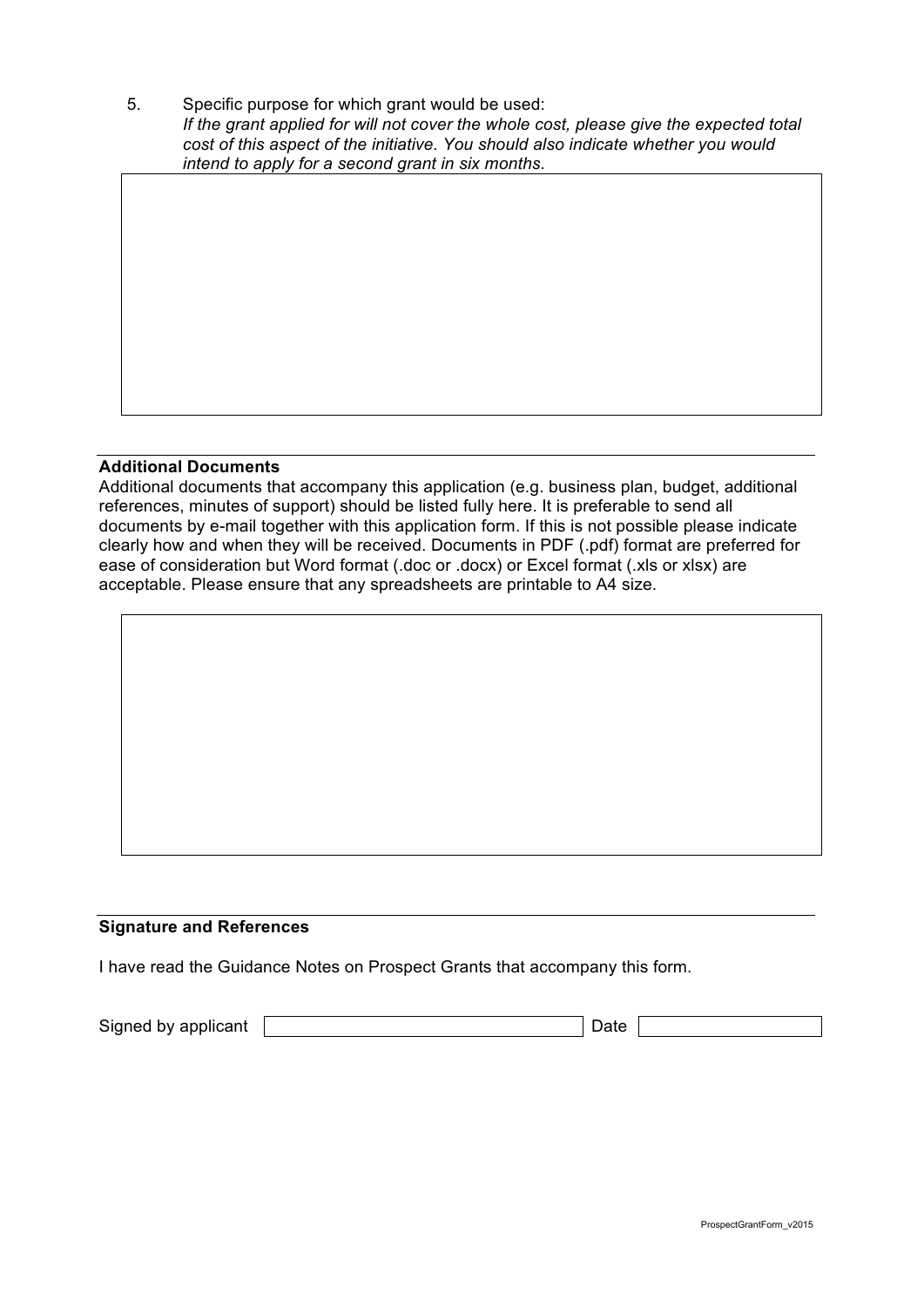5. Specific purpose for which grant would be used: *If the grant applied for will not cover the whole cost, please give the expected total cost of this aspect of the initiative. You should also indicate whether you would intend to apply for a second grant in six months.*

## **Additional Documents**

Additional documents that accompany this application (e.g. business plan, budget, additional references, minutes of support) should be listed fully here. It is preferable to send all documents by e-mail together with this application form. If this is not possible please indicate clearly how and when they will be received. Documents in PDF (.pdf) format are preferred for ease of consideration but Word format (.doc or .docx) or Excel format (.xls or xlsx) are acceptable. Please ensure that any spreadsheets are printable to A4 size.

## **Signature and References**

I have read the Guidance Notes on Prospect Grants that accompany this form.

Signed by applicant Date Date Date Date Date